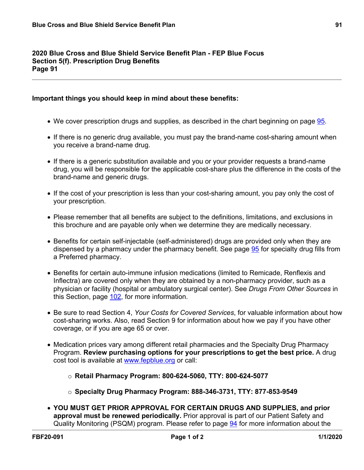## **2020 Blue Cross and Blue Shield Service Benefit Plan - FEP Blue Focus Section 5(f). Prescription Drug Benefits Page 91**

## **Important things you should keep in mind about these benefits:**

- We cover prescription drugs and supplies, as described in the chart beginning on page [95](a8376318-ebd6-421f-be63-acf8c88376a1_da51508d-799d-4d00-937a-7b1337ffb505.html?v=32493).
- If there is no generic drug available, you must pay the brand-name cost-sharing amount when you receive a brand-name drug.
- If there is a generic substitution available and you or your provider requests a brand-name drug, you will be responsible for the applicable cost-share plus the difference in the costs of the brand-name and generic drugs.
- If the cost of your prescription is less than your cost-sharing amount, you pay only the cost of your prescription.
- Please remember that all benefits are subject to the definitions, limitations, and exclusions in this brochure and are payable only when we determine they are medically necessary.
- Benefits for certain self-injectable (self-administered) drugs are provided only when they are dispensed by a pharmacy under the pharmacy benefit. See page [95](a8376318-ebd6-421f-be63-acf8c88376a1_da51508d-799d-4d00-937a-7b1337ffb505.html?v=32493) for specialty drug fills from a Preferred pharmacy.
- Benefits for certain auto-immune infusion medications (limited to Remicade, Renflexis and Inflectra) are covered only when they are obtained by a non-pharmacy provider, such as a physician or facility (hospital or ambulatory surgical center). See *Drugs From Other Sources* in this Section, page [102,](a8376318-ebd6-421f-be63-acf8c88376a1_ce410554-6588-45ae-bad5-cb1818a006a9.html?v=32493) for more information.
- Be sure to read Section 4, *Your Costs for Covered Services*, for valuable information about how cost-sharing works. Also, read Section 9 for information about how we pay if you have other coverage, or if you are age 65 or over.
- Medication prices vary among different retail pharmacies and the Specialty Drug Pharmacy Program. **Review purchasing options for your prescriptions to get the best price.** A drug cost tool is available at [www.fepblue.org](http://www.fepblue.org/) or call:
	- o **Retail Pharmacy Program: 800-624-5060, TTY: 800-624-5077**
	- o **Specialty Drug Pharmacy Program: 888-346-3731, TTY: 877-853-9549**
- **YOU MUST GET PRIOR APPROVAL FOR CERTAIN DRUGS AND SUPPLIES, and prior approval must be renewed periodically.** Prior approval is part of our Patient Safety and Quality Monitoring (PSQM) program. Please refer to page [94](a8376318-ebd6-421f-be63-acf8c88376a1_a74d3b96-fda5-4a25-bc14-38b5a4e0a816.html?v=32493) for more information about the